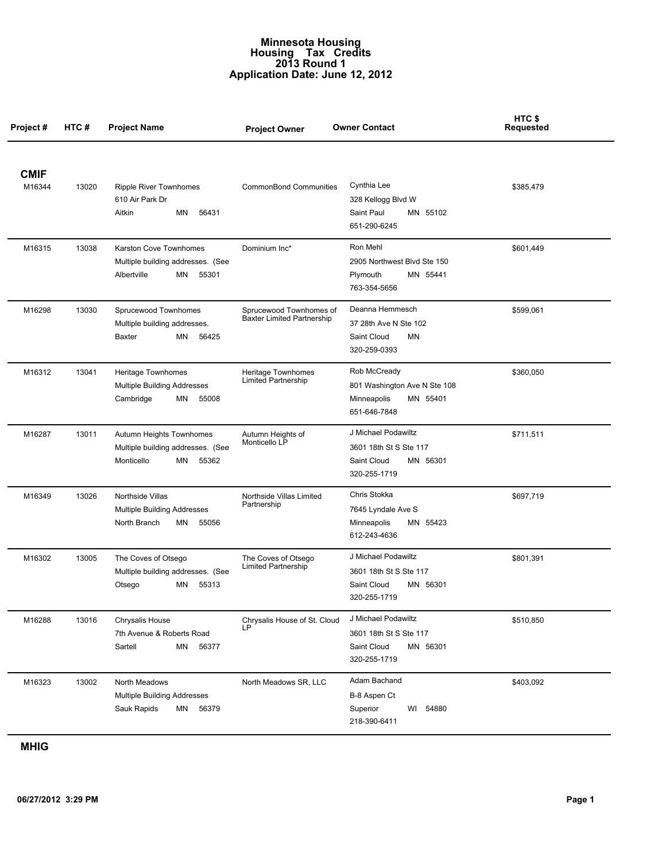## **Minnesota Housing Housing Tax Credits 2013 Round 1 Application Date: June 12, 2012**

| Project#    | HTC#  | <b>Project Name</b>                                                                        | <b>Project Owner</b>                                         | <b>Owner Contact</b>                                                                     | HTC \$<br><b>Requested</b> |
|-------------|-------|--------------------------------------------------------------------------------------------|--------------------------------------------------------------|------------------------------------------------------------------------------------------|----------------------------|
| <b>CMIF</b> |       |                                                                                            |                                                              |                                                                                          |                            |
| M16344      | 13020 | <b>Ripple River Townhomes</b><br>610 Air Park Dr<br>ΜN<br>56431<br>Aitkin                  | <b>CommonBond Communities</b>                                | Cynthia Lee<br>328 Kellogg Blvd W<br>Saint Paul<br>MN 55102<br>651-290-6245              | \$385,479                  |
| M16315      | 13038 | Karston Cove Townhomes<br>Multiple building addresses. (See<br>Albertville<br>ΜN<br>55301  | Dominium Inc*                                                | Ron Mehl<br>2905 Northwest Blvd Ste 150<br>Plymouth<br>MN 55441<br>763-354-5656          | \$601,449                  |
| M16298      | 13030 | Sprucewood Townhomes<br>Multiple building addresses.<br>ΜN<br>56425<br>Baxter              | Sprucewood Townhomes of<br><b>Baxter Limited Partnership</b> | Deanna Hemmesch<br>37 28th Ave N Ste 102<br>Saint Cloud<br>ΜN<br>320-259-0393            | \$599,061                  |
| M16312      | 13041 | Heritage Townhomes<br><b>Multiple Building Addresses</b><br>Cambridge<br>ΜN<br>55008       | Heritage Townhomes<br>Limited Partnership                    | Rob McCready<br>801 Washington Ave N Ste 108<br>Minneapolis<br>MN 55401<br>651-646-7848  | \$360,050                  |
| M16287      | 13011 | Autumn Heights Townhomes<br>Multiple building addresses. (See<br>Monticello<br>ΜN<br>55362 | Autumn Heights of<br>Monticello LP                           | J Michael Podawiltz<br>3601 18th St S Ste 117<br>Saint Cloud<br>MN 56301<br>320-255-1719 | \$711,511                  |
| M16349      | 13026 | Northside Villas<br>Multiple Building Addresses<br>North Branch<br>ΜN<br>55056             | Northside Villas Limited<br>Partnership                      | Chris Stokka<br>7645 Lyndale Ave S<br>MN 55423<br>Minneapolis<br>612-243-4636            | \$697,719                  |
| M16302      | 13005 | The Coves of Otsego<br>Multiple building addresses. (See<br>ΜN<br>55313<br>Otsego          | The Coves of Otsego<br>Limited Partnership                   | J Michael Podawiltz<br>3601 18th St S Ste 117<br>Saint Cloud<br>MN 56301<br>320-255-1719 | \$801,391                  |
| M16288      | 13016 | Chrysalis House<br>7th Avenue & Roberts Road<br>ΜN<br>Sartell<br>56377                     | Chrysalis House of St. Cloud<br>LР                           | J Michael Podawiltz<br>3601 18th St S Ste 117<br>Saint Cloud<br>MN 56301<br>320-255-1719 | \$510,850                  |
| M16323      | 13002 | North Meadows<br><b>Multiple Building Addresses</b><br>Sauk Rapids<br>ΜN<br>56379          | North Meadows SR, LLC                                        | Adam Bachand<br>B-8 Aspen Ct<br>Superior<br>WI 54880<br>218-390-6411                     | \$403,092                  |

## **MHIG**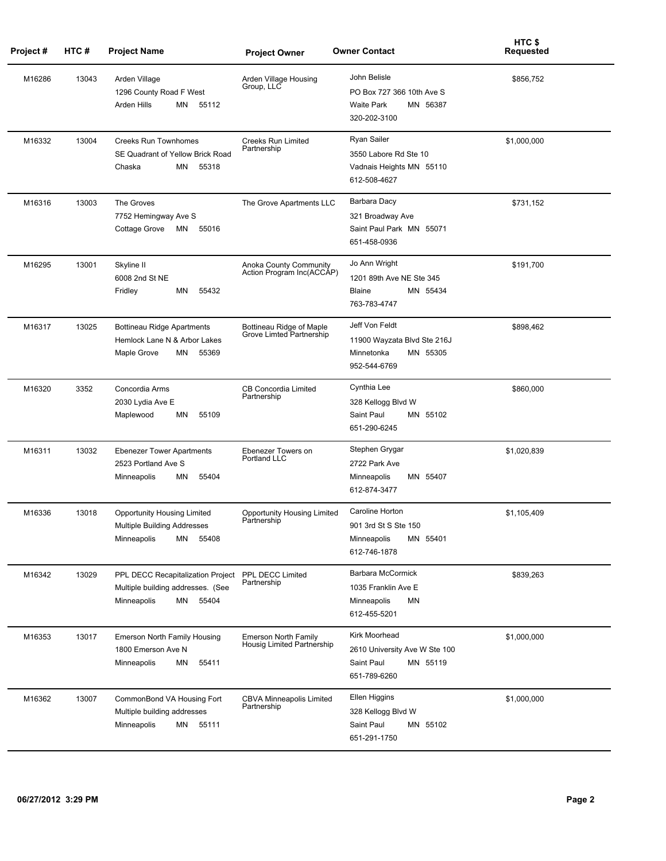| Project# | HTC#  | <b>Project Name</b>                                                                               | <b>Project Owner</b>                                      | <b>Owner Contact</b>                                                                       | HTC \$<br><b>Requested</b> |
|----------|-------|---------------------------------------------------------------------------------------------------|-----------------------------------------------------------|--------------------------------------------------------------------------------------------|----------------------------|
| M16286   | 13043 | Arden Village<br>1296 County Road F West<br>Arden Hills<br>MN<br>55112                            | Arden Village Housing<br>Group, LLC                       | John Belisle<br>PO Box 727 366 10th Ave S<br><b>Waite Park</b><br>MN 56387<br>320-202-3100 | \$856,752                  |
| M16332   | 13004 | <b>Creeks Run Townhomes</b><br>SE Quadrant of Yellow Brick Road<br>Chaska<br>MN<br>55318          | <b>Creeks Run Limited</b><br>Partnership                  | Ryan Sailer<br>3550 Labore Rd Ste 10<br>Vadnais Heights MN 55110<br>612-508-4627           | \$1,000,000                |
| M16316   | 13003 | The Groves<br>7752 Hemingway Ave S<br>Cottage Grove<br>MN<br>55016                                | The Grove Apartments LLC                                  | Barbara Dacy<br>321 Broadway Ave<br>Saint Paul Park MN 55071<br>651-458-0936               | \$731,152                  |
| M16295   | 13001 | Skyline II<br>6008 2nd St NE<br>ΜN<br>55432<br>Fridley                                            | Anoka County Community<br>Action Program Inc(ACCAP)       | Jo Ann Wright<br>1201 89th Ave NE Ste 345<br>Blaine<br>MN 55434<br>763-783-4747            | \$191,700                  |
| M16317   | 13025 | <b>Bottineau Ridge Apartments</b><br>Hemlock Lane N & Arbor Lakes<br>Maple Grove<br>MN<br>55369   | Bottineau Ridge of Maple<br>Grove Limted Partnership      | Jeff Von Feldt<br>11900 Wayzata Blvd Ste 216J<br>Minnetonka<br>MN 55305<br>952-544-6769    | \$898,462                  |
| M16320   | 3352  | Concordia Arms<br>2030 Lydia Ave E<br>Maplewood<br>MN<br>55109                                    | CB Concordia Limited<br>Partnership                       | Cynthia Lee<br>328 Kellogg Blvd W<br>Saint Paul<br>MN 55102<br>651-290-6245                | \$860,000                  |
| M16311   | 13032 | <b>Ebenezer Tower Apartments</b><br>2523 Portland Ave S<br>Minneapolis<br>ΜN<br>55404             | Ebenezer Towers on<br>Portland LLC                        | Stephen Grygar<br>2722 Park Ave<br>MN 55407<br>Minneapolis<br>612-874-3477                 | \$1,020,839                |
| M16336   | 13018 | <b>Opportunity Housing Limited</b><br>Multiple Building Addresses<br>MN 55408<br>Minneapolis      | <b>Opportunity Housing Limited</b><br>Partnership         | Caroline Horton<br>901 3rd St S Ste 150<br>MN 55401<br>Minneapolis<br>612-746-1878         | \$1,105,409                |
| M16342   | 13029 | PPL DECC Recapitalization Project<br>Multiple building addresses. (See<br>MN 55404<br>Minneapolis | PPL DECC Limited<br>Partnership                           | Barbara McCormick<br>1035 Franklin Ave E<br>Minneapolis<br>ΜN<br>612-455-5201              | \$839,263                  |
| M16353   | 13017 | <b>Emerson North Family Housing</b><br>1800 Emerson Ave N<br>Minneapolis<br>ΜN<br>55411           | <b>Emerson North Family</b><br>Housig Limited Partnership | Kirk Moorhead<br>2610 University Ave W Ste 100<br>Saint Paul<br>MN 55119<br>651-789-6260   | \$1,000,000                |
| M16362   | 13007 | CommonBond VA Housing Fort<br>Multiple building addresses<br>Minneapolis<br>ΜN<br>55111           | <b>CBVA Minneapolis Limited</b><br>Partnership            | Ellen Higgins<br>328 Kellogg Blvd W<br>Saint Paul<br>MN 55102<br>651-291-1750              | \$1,000,000                |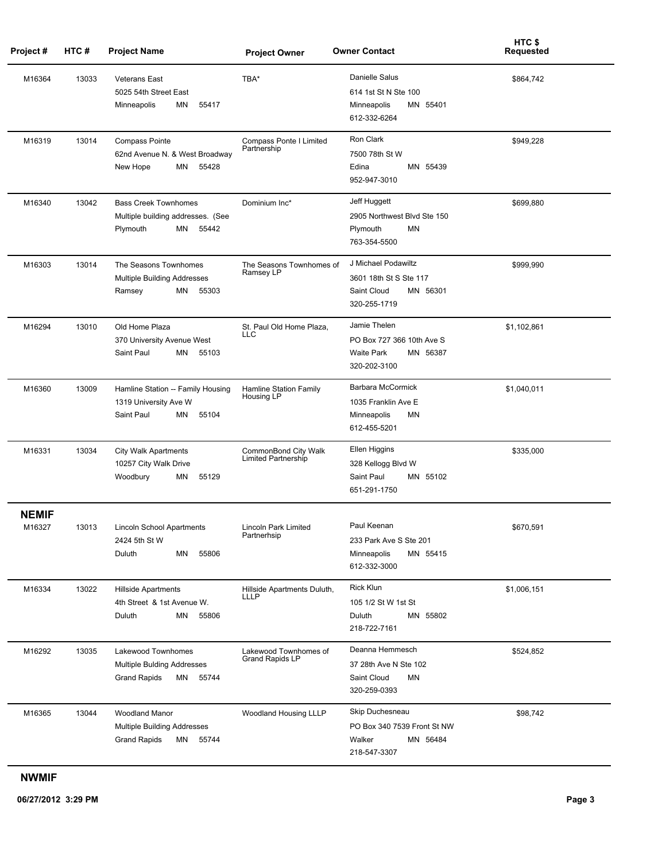| Project#               | HTC#  | <b>Project Name</b>                                                                         | <b>Project Owner</b>                            | <b>Owner Contact</b>                                                                       | HTC \$<br><b>Requested</b> |
|------------------------|-------|---------------------------------------------------------------------------------------------|-------------------------------------------------|--------------------------------------------------------------------------------------------|----------------------------|
| M16364                 | 13033 | <b>Veterans East</b><br>5025 54th Street East<br>Minneapolis<br>ΜN<br>55417                 | TBA*                                            | Danielle Salus<br>614 1st St N Ste 100<br>Minneapolis<br>MN 55401<br>612-332-6264          | \$864,742                  |
| M16319                 | 13014 | <b>Compass Pointe</b><br>62nd Avenue N. & West Broadway<br>New Hope<br>MN<br>55428          | Compass Ponte I Limited<br>Partnership          | Ron Clark<br>7500 78th St W<br>Edina<br>MN 55439<br>952-947-3010                           | \$949,228                  |
| M16340                 | 13042 | <b>Bass Creek Townhomes</b><br>Multiple building addresses. (See<br>Plymouth<br>55442<br>MN | Dominium Inc*                                   | Jeff Huggett<br>2905 Northwest Blvd Ste 150<br><b>MN</b><br>Plymouth<br>763-354-5500       | \$699,880                  |
| M16303                 | 13014 | The Seasons Townhomes<br>Multiple Building Addresses<br>ΜN<br>55303<br>Ramsey               | The Seasons Townhomes of<br>Ramsey LP           | J Michael Podawiltz<br>3601 18th St S Ste 117<br>Saint Cloud<br>MN 56301<br>320-255-1719   | \$999,990                  |
| M16294                 | 13010 | Old Home Plaza<br>370 University Avenue West<br>Saint Paul<br>MN<br>55103                   | St. Paul Old Home Plaza,<br>LLC                 | Jamie Thelen<br>PO Box 727 366 10th Ave S<br><b>Waite Park</b><br>MN 56387<br>320-202-3100 | \$1,102,861                |
| M16360                 | 13009 | Hamline Station -- Family Housing<br>1319 University Ave W<br>Saint Paul<br>MN<br>55104     | Hamline Station Family<br>Housing LP            | Barbara McCormick<br>1035 Franklin Ave E<br>Minneapolis<br>MN<br>612-455-5201              | \$1,040,011                |
| M16331                 | 13034 | <b>City Walk Apartments</b><br>10257 City Walk Drive<br>Woodbury<br>ΜN<br>55129             | CommonBond City Walk<br>Limited Partnership     | Ellen Higgins<br>328 Kellogg Blvd W<br>Saint Paul<br>MN 55102<br>651-291-1750              | \$335,000                  |
| <b>NEMIF</b><br>M16327 | 13013 | Lincoln School Apartments<br>2424 5th St W<br>55806<br>Duluth<br>MN                         | Lincoln Park Limited<br>Partnerhsip             | Paul Keenan<br>233 Park Ave S Ste 201<br>MN 55415<br>Minneapolis<br>612-332-3000           | \$670,591                  |
| M16334                 | 13022 | <b>Hillside Apartments</b><br>4th Street & 1st Avenue W.<br>55806<br>MN<br>Duluth           | Hillside Apartments Duluth,<br>LLLP             | Rick Klun<br>105 1/2 St W 1st St<br>MN 55802<br>Duluth<br>218-722-7161                     | \$1,006,151                |
| M16292                 | 13035 | Lakewood Townhomes<br>Multiple Bulding Addresses<br><b>Grand Rapids</b><br>MN 55744         | Lakewood Townhomes of<br><b>Grand Rapids LP</b> | Deanna Hemmesch<br>37 28th Ave N Ste 102<br><b>MN</b><br>Saint Cloud<br>320-259-0393       | \$524,852                  |
| M16365                 | 13044 | <b>Woodland Manor</b><br>Multiple Building Addresses<br><b>Grand Rapids</b><br>MN 55744     | Woodland Housing LLLP                           | Skip Duchesneau<br>PO Box 340 7539 Front St NW<br>Walker<br>MN 56484<br>218-547-3307       | \$98,742                   |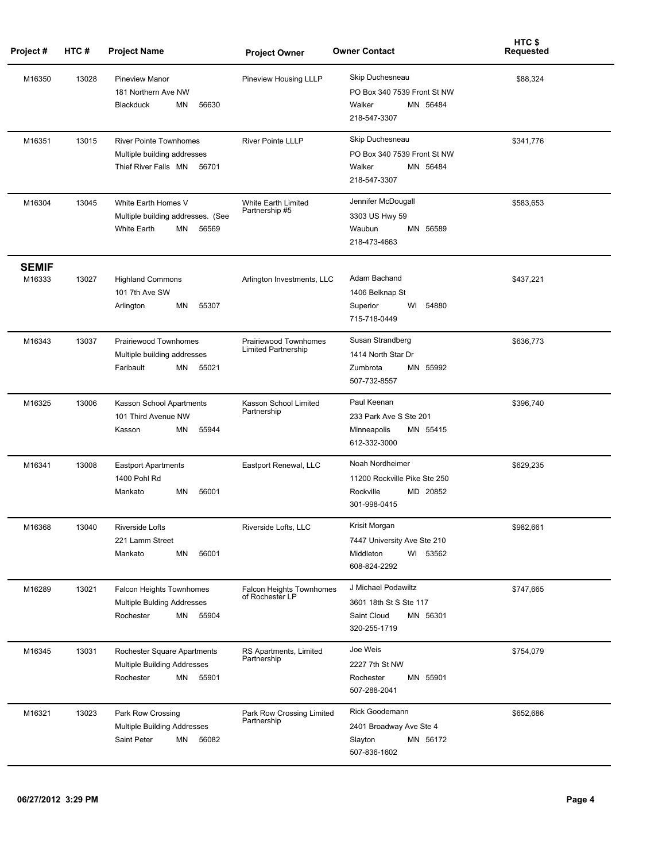| Project#               | HTC#  | <b>Project Name</b>                                                                           | <b>Project Owner</b>                                | <b>Owner Contact</b>                                                                     | HTC \$<br><b>Requested</b> |
|------------------------|-------|-----------------------------------------------------------------------------------------------|-----------------------------------------------------|------------------------------------------------------------------------------------------|----------------------------|
| M16350                 | 13028 | <b>Pineview Manor</b><br>181 Northern Ave NW<br><b>Blackduck</b><br>MN<br>56630               | Pineview Housing LLLP                               | Skip Duchesneau<br>PO Box 340 7539 Front St NW<br>Walker<br>MN 56484<br>218-547-3307     | \$88,324                   |
| M16351                 | 13015 | <b>River Pointe Townhomes</b><br>Multiple building addresses<br>Thief River Falls MN<br>56701 | <b>River Pointe LLLP</b>                            | Skip Duchesneau<br>PO Box 340 7539 Front St NW<br>Walker<br>MN 56484<br>218-547-3307     | \$341,776                  |
| M16304                 | 13045 | White Earth Homes V<br>Multiple building addresses. (See<br><b>White Earth</b><br>56569<br>MN | White Earth Limited<br>Partnership #5               | Jennifer McDougall<br>3303 US Hwy 59<br>Waubun<br>MN 56589<br>218-473-4663               | \$583,653                  |
| <b>SEMIF</b><br>M16333 | 13027 | <b>Highland Commons</b><br>101 7th Ave SW<br>55307<br>MN<br>Arlington                         | Arlington Investments, LLC                          | Adam Bachand<br>1406 Belknap St<br>Superior<br>54880<br>WI<br>715-718-0449               | \$437,221                  |
| M16343                 | 13037 | Prairiewood Townhomes<br>Multiple building addresses<br>55021<br>Faribault<br>MN              | Prairiewood Townhomes<br><b>Limited Partnership</b> | Susan Strandberg<br>1414 North Star Dr<br>MN 55992<br>Zumbrota<br>507-732-8557           | \$636,773                  |
| M16325                 | 13006 | Kasson School Apartments<br>101 Third Avenue NW<br>MN<br>55944<br>Kasson                      | Kasson School Limited<br>Partnership                | Paul Keenan<br>233 Park Ave S Ste 201<br>Minneapolis<br>MN 55415<br>612-332-3000         | \$396,740                  |
| M16341                 | 13008 | <b>Eastport Apartments</b><br>1400 Pohl Rd<br>56001<br>Mankato<br>ΜN                          | Eastport Renewal, LLC                               | Noah Nordheimer<br>11200 Rockville Pike Ste 250<br>MD 20852<br>Rockville<br>301-998-0415 | \$629,235                  |
| M16368                 | 13040 | <b>Riverside Lofts</b><br>221 Lamm Street<br>Mankato<br>ΜN<br>56001                           | Riverside Lofts, LLC                                | Krisit Morgan<br>7447 University Ave Ste 210<br>Middleton<br>WI 53562<br>608-824-2292    | \$982,661                  |
| M16289                 | 13021 | Falcon Heights Townhomes<br>Multiple Bulding Addresses<br>Rochester<br>MN 55904               | Falcon Heights Townhomes<br>of Rochester LP         | J Michael Podawiltz<br>3601 18th St S Ste 117<br>Saint Cloud<br>MN 56301<br>320-255-1719 | \$747,665                  |
| M16345                 | 13031 | Rochester Square Apartments<br>Multiple Building Addresses<br>MN 55901<br>Rochester           | RS Apartments, Limited<br>Partnership               | Joe Weis<br>2227 7th St NW<br>MN 55901<br>Rochester<br>507-288-2041                      | \$754,079                  |
| M16321                 | 13023 | Park Row Crossing<br>Multiple Building Addresses<br>Saint Peter<br>56082<br>MN                | Park Row Crossing Limited<br>Partnership            | Rick Goodemann<br>2401 Broadway Ave Ste 4<br>MN 56172<br>Slayton<br>507-836-1602         | \$652,686                  |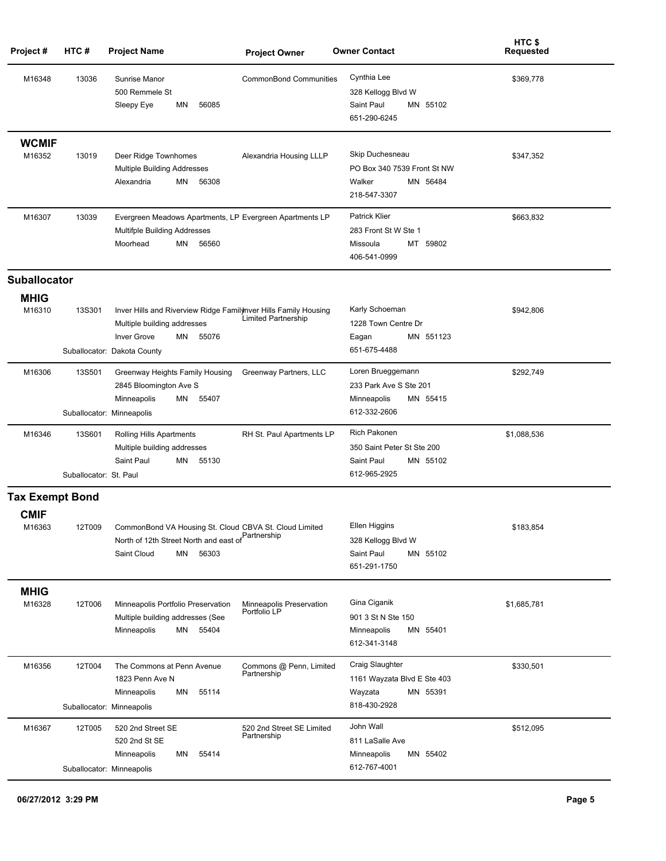| Project#               | HTC#                             | <b>Project Name</b>                                                                                                                                                | <b>Project Owner</b>                     | <b>Owner Contact</b>                                                                   | HTC \$<br><b>Requested</b> |
|------------------------|----------------------------------|--------------------------------------------------------------------------------------------------------------------------------------------------------------------|------------------------------------------|----------------------------------------------------------------------------------------|----------------------------|
| M16348                 | 13036                            | Sunrise Manor<br>500 Remmele St<br>56085<br>Sleepy Eye<br>ΜN                                                                                                       | <b>CommonBond Communities</b>            | Cynthia Lee<br>328 Kellogg Blvd W<br>Saint Paul<br>MN 55102<br>651-290-6245            | \$369,778                  |
| <b>WCMIF</b><br>M16352 | 13019                            | Deer Ridge Townhomes<br>Multiple Building Addresses<br>MN<br>56308<br>Alexandria                                                                                   | Alexandria Housing LLLP                  | Skip Duchesneau<br>PO Box 340 7539 Front St NW<br>Walker<br>MN 56484<br>218-547-3307   | \$347,352                  |
| M16307                 | 13039                            | Evergreen Meadows Apartments, LP Evergreen Apartments LP<br>Multifple Building Addresses<br>Moorhead<br>MN<br>56560                                                |                                          | <b>Patrick Klier</b><br>283 Front St W Ste 1<br>MT 59802<br>Missoula<br>406-541-0999   | \$663,832                  |
| <b>Suballocator</b>    |                                  |                                                                                                                                                                    |                                          |                                                                                        |                            |
| <b>MHIG</b><br>M16310  | <b>13S301</b>                    | Inver Hills and Riverview Ridge Familyhver Hills Family Housing<br>Multiple building addresses<br>55076<br><b>Inver Grove</b><br>MN<br>Suballocator: Dakota County | Limited Partnership                      | Karly Schoeman<br>1228 Town Centre Dr<br>Eagan<br>MN 551123<br>651-675-4488            | \$942,806                  |
| M16306                 | <b>13S501</b>                    | Greenway Heights Family Housing<br>2845 Bloomington Ave S<br>Minneapolis<br>MN<br>55407<br>Suballocator: Minneapolis                                               | Greenway Partners, LLC                   | Loren Brueggemann<br>233 Park Ave S Ste 201<br>MN 55415<br>Minneapolis<br>612-332-2606 | \$292,749                  |
| M16346                 | 13S601<br>Suballocator: St. Paul | Rolling Hills Apartments<br>Multiple building addresses<br>Saint Paul<br>MN<br>55130                                                                               | RH St. Paul Apartments LP                | Rich Pakonen<br>350 Saint Peter St Ste 200<br>Saint Paul<br>MN 55102<br>612-965-2925   | \$1,088,536                |
| <b>Tax Exempt Bond</b> |                                  |                                                                                                                                                                    |                                          |                                                                                        |                            |
| <b>CMIF</b><br>M16363  | 12T009                           | CommonBond VA Housing St. Cloud CBVA St. Cloud Limited<br>Partnership<br>North of 12th Street North and east of<br>Saint Cloud<br>MN<br>56303                      |                                          | Ellen Higgins<br>328 Kellogg Blvd W<br>Saint Paul<br>MN 55102<br>651-291-1750          | \$183,854                  |
| <b>MHIG</b><br>M16328  | 12T006                           | Minneapolis Portfolio Preservation<br>Multiple building addresses (See<br>MN 55404<br>Minneapolis                                                                  | Minneapolis Preservation<br>Portfolio LP | Gina Ciganik<br>901 3 St N Ste 150<br>Minneapolis<br>MN 55401<br>612-341-3148          | \$1,685,781                |
| M16356                 | 12T004                           | The Commons at Penn Avenue<br>1823 Penn Ave N<br>55114<br>Minneapolis<br>MN<br>Suballocator: Minneapolis                                                           | Commons @ Penn, Limited<br>Partnership   | Craig Slaughter<br>1161 Wayzata Blvd E Ste 403<br>MN 55391<br>Wayzata<br>818-430-2928  | \$330,501                  |
| M16367                 | 12T005                           | 520 2nd Street SE<br>520 2nd St SE<br>55414<br>Minneapolis<br>ΜN<br>Suballocator: Minneapolis                                                                      | 520 2nd Street SE Limited<br>Partnership | John Wall<br>811 LaSalle Ave<br>Minneapolis<br>MN 55402<br>612-767-4001                | \$512,095                  |